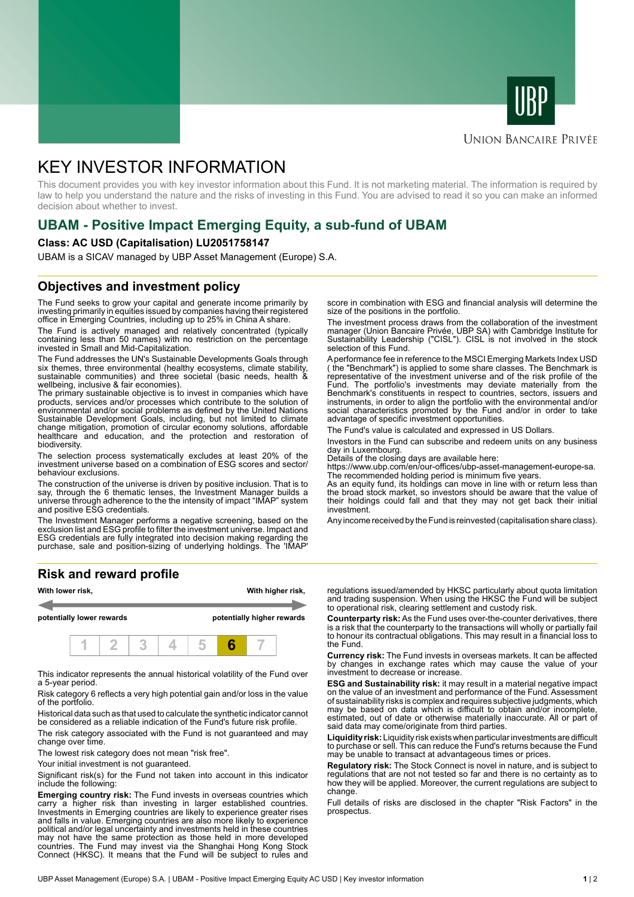



# **UNION BANCAIRE PRIVÉE**

# KEY INVESTOR INFORMATION

This document provides you with key investor information about this Fund. It is not marketing material. The information is required by law to help you understand the nature and the risks of investing in this Fund. You are advised to read it so you can make an informed decision about whether to invest.

# **UBAM - Positive Impact Emerging Equity, a sub-fund of UBAM**

### **Class: AC USD (Capitalisation) LU2051758147**

UBAM is a SICAV managed by UBP Asset Management (Europe) S.A.

# **Objectives and investment policy**

The Fund seeks to grow your capital and generate income primarily by investing primarily in equities issued by companies having their registered office in Emerging Countries, including up to 25% in China A share.

The Fund is actively managed and relatively concentrated (typically containing less than 50 names) with no restriction on the percentage invested in Small and Mid-Capitalization.

The Fund addresses the UN's Sustainable Developments Goals through six themes, three environmental (healthy ecosystems, climate stability, sustainable communities) and three societal (basic needs, health & wellbeing, inclusive & fair economies).

The primary sustainable objective is to invest in companies which have products, services and/or processes which contribute to the solution of environmental and/or social problems as defined by the United Nations Sustainable Development Goals, including, but not limited to climate change mitigation, promotion of circular economy solutions, affordable healthcare and education, and the protection and restoration of biodiversity.

The selection process systematically excludes at least 20% of the investment universe based on a combination of ESG scores and sector/ behaviour exclusions.

The construction of the universe is driven by positive inclusion. That is to say, through the 6 thematic lenses, the Investment Manager builds a universe through adherence to the the intensity of impact "IMAP" system and positive ESG credentials.

The Investment Manager performs a negative screening, based on the exclusion list and ESG profile to filter the investment universe. Impact and ESG credentials are fully integrated into decision making regarding the purchase, sale and position-sizing of underlying holdings. The 'IMAP'

### **Risk and reward profile**



This indicator represents the annual historical volatility of the Fund over a 5-year period.

Risk category 6 reflects a very high potential gain and/or loss in the value of the portfolio.

Historical data such as that used to calculate the synthetic indicator cannot be considered as a reliable indication of the Fund's future risk profile.

The risk category associated with the Fund is not guaranteed and may change over time.

The lowest risk category does not mean "risk free".

Your initial investment is not guaranteed.

Significant risk(s) for the Fund not taken into account in this indicator include the following:

**Emerging country risk:** The Fund invests in overseas countries which carry a higher risk than investing in larger established countries. Investments in Emerging countries are likely to experience greater rises and falls in value. Emerging countries are also more likely to experience political and/or legal uncertainty and investments held in these countries may not have the same protection as those held in more developed countries. The Fund may invest via the Shanghai Hong Kong Stock Connect (HKSC). It means that the Fund will be subject to rules and

score in combination with ESG and financial analysis will determine the size of the positions in the portfolio.

The investment process draws from the collaboration of the investment manager (Union Bancaire Privée, UBP SA) with Cambridge Institute for Sustainability Leadership ("CISL"). CISL is not involved in the stock selection of this Fund.

A performance fee in reference to the MSCI Emerging Markets Index USD ( the "Benchmark") is applied to some share classes. The Benchmark is representative of the investment universe and of the risk profile of the Fund. The portfolio's investments may deviate materially from the Benchmark's constituents in respect to countries, sectors, issuers and instruments, in order to align the portfolio with the environmental and/or social characteristics promoted by the Fund and/or in order to take advantage of specific investment opportunities.

The Fund's value is calculated and expressed in US Dollars.

Investors in the Fund can subscribe and redeem units on any business day in Luxembourg.

Details of the closing days are available here:

https://www.ubp.com/en/our-offices/ubp-asset-management-europe-sa. The recommended holding period is minimum five years.

As an equity fund, its holdings can move in line with or return less than the broad stock market, so investors should be aware that the value of their holdings could fall and that they may not get back their initial investment.

Any income received by the Fund is reinvested (capitalisation share class).

regulations issued/amended by HKSC particularly about quota limitation and trading suspension. When using the HKSC the Fund will be subject to operational risk, clearing settlement and custody risk.

**Counterparty risk:** As the Fund uses over-the-counter derivatives, there is a risk that the counterparty to the transactions will wholly or partially fail to honour its contractual obligations. This may result in a financial loss to the Fund.

**Currency risk:** The Fund invests in overseas markets. It can be affected by changes in exchange rates which may cause the value of your investment to decrease or increase.

**ESG and Sustainability risk:** it may result in a material negative impact on the value of an investment and performance of the Fund. Assessment of sustainability risks is complex and requires subjective judgments, which may be based on data which is difficult to obtain and/or incomplete, estimated, out of date or otherwise materially inaccurate. All or part of said data may come/originate from third parties.

**Liquidity risk:** Liquidity risk exists when particular investments are difficult to purchase or sell. This can reduce the Fund's returns because the Fund may be unable to transact at advantageous times or prices.

**Regulatory risk:** The Stock Connect is novel in nature, and is subject to regulations that are not not tested so far and there is no certainty as to how they will be applied. Moreover, the current regulations are subject to change.

Full details of risks are disclosed in the chapter "Risk Factors" in the prospectus.